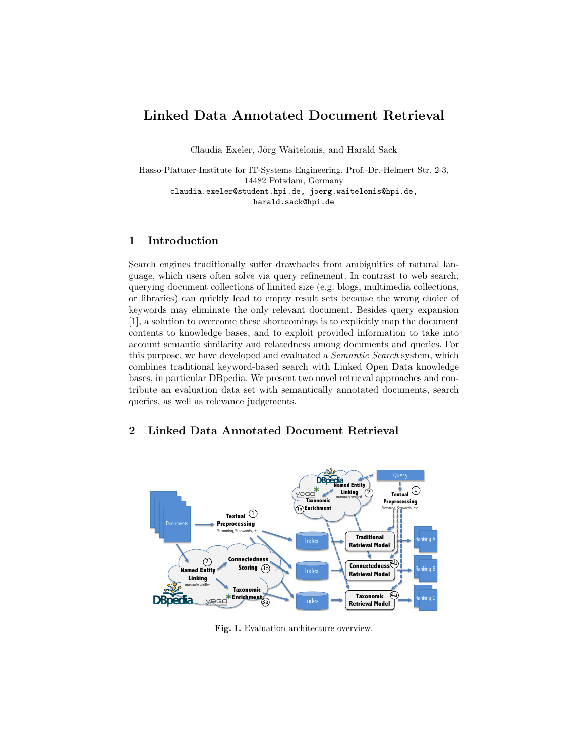# Linked Data Annotated Document Retrieval

Claudia Exeler, Jörg Waitelonis, and Harald Sack

Hasso-Plattner-Institute for IT-Systems Engineering, Prof.-Dr.-Helmert Str. 2-3, 14482 Potsdam, Germany claudia.exeler@student.hpi.de, joerg.waitelonis@hpi.de, harald.sack@hpi.de

# 1 Introduction

Search engines traditionally suffer drawbacks from ambiguities of natural language, which users often solve via query refinement. In contrast to web search, querying document collections of limited size (e.g. blogs, multimedia collections, or libraries) can quickly lead to empty result sets because the wrong choice of keywords may eliminate the only relevant document. Besides query expansion [1], a solution to overcome these shortcomings is to explicitly map the document contents to knowledge bases, and to exploit provided information to take into account semantic similarity and relatedness among documents and queries. For this purpose, we have developed and evaluated a Semantic Search system, which combines traditional keyword-based search with Linked Open Data knowledge bases, in particular DBpedia. We present two novel retrieval approaches and contribute an evaluation data set with semantically annotated documents, search queries, as well as relevance judgements.

## 2 Linked Data Annotated Document Retrieval



Fig. 1. Evaluation architecture overview.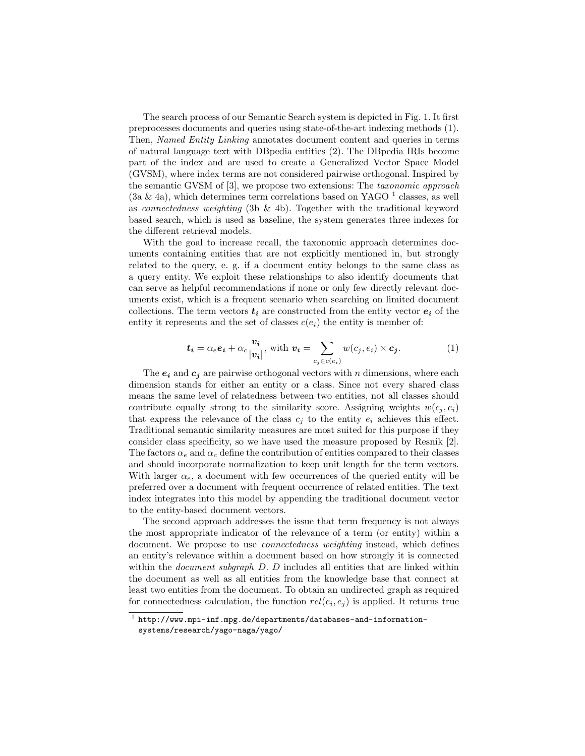The search process of our Semantic Search system is depicted in Fig. 1. It first preprocesses documents and queries using state-of-the-art indexing methods (1). Then, Named Entity Linking annotates document content and queries in terms of natural language text with DBpedia entities (2). The DBpedia IRIs become part of the index and are used to create a Generalized Vector Space Model (GVSM), where index terms are not considered pairwise orthogonal. Inspired by the semantic GVSM of [3], we propose two extensions: The taxonomic approach  $(3a \& 4a)$ , which determines term correlations based on YAGO <sup>1</sup> classes, as well as *connectedness weighting* (3b & 4b). Together with the traditional keyword based search, which is used as baseline, the system generates three indexes for the different retrieval models.

With the goal to increase recall, the taxonomic approach determines documents containing entities that are not explicitly mentioned in, but strongly related to the query, e. g. if a document entity belongs to the same class as a query entity. We exploit these relationships to also identify documents that can serve as helpful recommendations if none or only few directly relevant documents exist, which is a frequent scenario when searching on limited document collections. The term vectors  $t_i$  are constructed from the entity vector  $e_i$  of the entity it represents and the set of classes  $c(e_i)$  the entity is member of:

$$
\mathbf{t}_{i} = \alpha_{e} \mathbf{e}_{i} + \alpha_{c} \frac{\mathbf{v}_{i}}{|\mathbf{v}_{i}|}, \text{ with } \mathbf{v}_{i} = \sum_{c_{j} \in c(e_{i})} w(c_{j}, e_{i}) \times \mathbf{c}_{j}.
$$
 (1)

The  $e_i$  and  $c_j$  are pairwise orthogonal vectors with n dimensions, where each dimension stands for either an entity or a class. Since not every shared class means the same level of relatedness between two entities, not all classes should contribute equally strong to the similarity score. Assigning weights  $w(c_i, e_i)$ that express the relevance of the class  $c_i$  to the entity  $e_i$  achieves this effect. Traditional semantic similarity measures are most suited for this purpose if they consider class specificity, so we have used the measure proposed by Resnik [2]. The factors  $\alpha_e$  and  $\alpha_c$  define the contribution of entities compared to their classes and should incorporate normalization to keep unit length for the term vectors. With larger  $\alpha_e$ , a document with few occurrences of the queried entity will be preferred over a document with frequent occurrence of related entities. The text index integrates into this model by appending the traditional document vector to the entity-based document vectors.

The second approach addresses the issue that term frequency is not always the most appropriate indicator of the relevance of a term (or entity) within a document. We propose to use *connectedness weighting* instead, which defines an entity's relevance within a document based on how strongly it is connected within the *document subgraph D. D* includes all entities that are linked within the document as well as all entities from the knowledge base that connect at least two entities from the document. To obtain an undirected graph as required for connectedness calculation, the function  $rel(e_i, e_j)$  is applied. It returns true

 $^1$  http://www.mpi-inf.mpg.de/departments/databases-and-informationsystems/research/yago-naga/yago/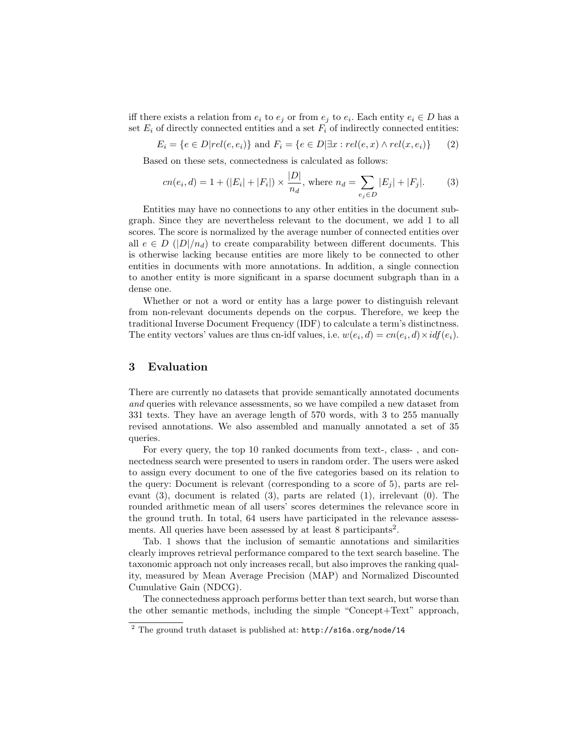iff there exists a relation from  $e_i$  to  $e_j$  or from  $e_j$  to  $e_i$ . Each entity  $e_i \in D$  has a set  $E_i$  of directly connected entities and a set  $F_i$  of indirectly connected entities:

$$
E_i = \{e \in D | rel(e, e_i) \} \text{ and } F_i = \{e \in D | \exists x : rel(e, x) \land rel(x, e_i) \} \qquad (2)
$$

Based on these sets, connectedness is calculated as follows:

$$
cn(e_i, d) = 1 + (|E_i| + |F_i|) \times \frac{|D|}{n_d}, \text{ where } n_d = \sum_{e_j \in D} |E_j| + |F_j|.
$$
 (3)

Entities may have no connections to any other entities in the document subgraph. Since they are nevertheless relevant to the document, we add 1 to all scores. The score is normalized by the average number of connected entities over all  $e \in D$  ( $|D|/n_d$ ) to create comparability between different documents. This is otherwise lacking because entities are more likely to be connected to other entities in documents with more annotations. In addition, a single connection to another entity is more significant in a sparse document subgraph than in a dense one.

Whether or not a word or entity has a large power to distinguish relevant from non-relevant documents depends on the corpus. Therefore, we keep the traditional Inverse Document Frequency (IDF) to calculate a term's distinctness. The entity vectors' values are thus cn-idf values, i.e.  $w(e_i, d) = cn(e_i, d) \times idf(e_i)$ .

### 3 Evaluation

There are currently no datasets that provide semantically annotated documents and queries with relevance assessments, so we have compiled a new dataset from 331 texts. They have an average length of 570 words, with 3 to 255 manually revised annotations. We also assembled and manually annotated a set of 35 queries.

For every query, the top 10 ranked documents from text-, class- , and connectedness search were presented to users in random order. The users were asked to assign every document to one of the five categories based on its relation to the query: Document is relevant (corresponding to a score of 5), parts are relevant (3), document is related (3), parts are related (1), irrelevant (0). The rounded arithmetic mean of all users' scores determines the relevance score in the ground truth. In total, 64 users have participated in the relevance assessments. All queries have been assessed by at least 8 participants<sup>2</sup>.

Tab. 1 shows that the inclusion of semantic annotations and similarities clearly improves retrieval performance compared to the text search baseline. The taxonomic approach not only increases recall, but also improves the ranking quality, measured by Mean Average Precision (MAP) and Normalized Discounted Cumulative Gain (NDCG).

The connectedness approach performs better than text search, but worse than the other semantic methods, including the simple "Concept+Text" approach,

 $\frac{2}{10}$  The ground truth dataset is published at: http://s16a.org/node/14